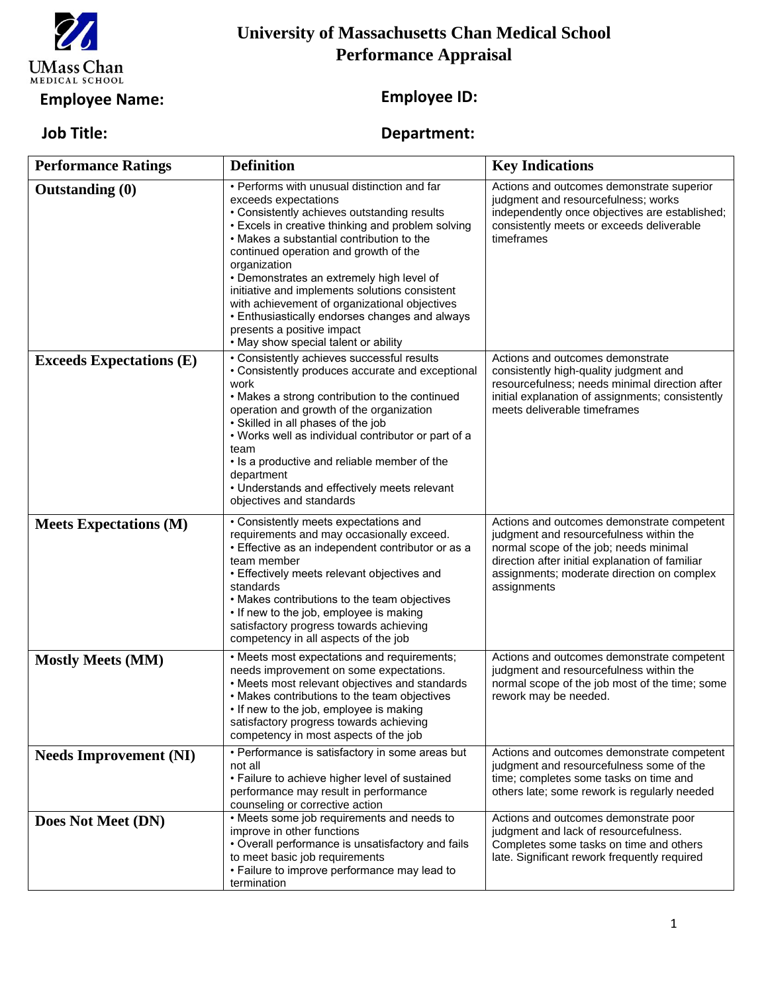

## **University of Massachusetts Chan Medical School Performance Appraisal**

## **Employee Name: Employee ID:**

## **Review from Date: Review to Date: Job Title: Department:**

| <b>Performance Ratings</b>      | <b>Definition</b>                                                                                                                                                                                                                                                                                                                                                                                                                                                                                                                                     | <b>Key Indications</b>                                                                                                                                                                                                                          |
|---------------------------------|-------------------------------------------------------------------------------------------------------------------------------------------------------------------------------------------------------------------------------------------------------------------------------------------------------------------------------------------------------------------------------------------------------------------------------------------------------------------------------------------------------------------------------------------------------|-------------------------------------------------------------------------------------------------------------------------------------------------------------------------------------------------------------------------------------------------|
| <b>Outstanding (0)</b>          | • Performs with unusual distinction and far<br>exceeds expectations<br>• Consistently achieves outstanding results<br>• Excels in creative thinking and problem solving<br>• Makes a substantial contribution to the<br>continued operation and growth of the<br>organization<br>• Demonstrates an extremely high level of<br>initiative and implements solutions consistent<br>with achievement of organizational objectives<br>• Enthusiastically endorses changes and always<br>presents a positive impact<br>• May show special talent or ability | Actions and outcomes demonstrate superior<br>judgment and resourcefulness; works<br>independently once objectives are established;<br>consistently meets or exceeds deliverable<br>timeframes                                                   |
| <b>Exceeds Expectations (E)</b> | • Consistently achieves successful results<br>• Consistently produces accurate and exceptional<br>work<br>• Makes a strong contribution to the continued<br>operation and growth of the organization<br>• Skilled in all phases of the job<br>• Works well as individual contributor or part of a<br>team<br>• Is a productive and reliable member of the<br>department<br>• Understands and effectively meets relevant<br>objectives and standards                                                                                                   | Actions and outcomes demonstrate<br>consistently high-quality judgment and<br>resourcefulness; needs minimal direction after<br>initial explanation of assignments; consistently<br>meets deliverable timeframes                                |
| <b>Meets Expectations (M)</b>   | • Consistently meets expectations and<br>requirements and may occasionally exceed.<br>• Effective as an independent contributor or as a<br>team member<br>• Effectively meets relevant objectives and<br>standards<br>• Makes contributions to the team objectives<br>• If new to the job, employee is making<br>satisfactory progress towards achieving<br>competency in all aspects of the job                                                                                                                                                      | Actions and outcomes demonstrate competent<br>judgment and resourcefulness within the<br>normal scope of the job; needs minimal<br>direction after initial explanation of familiar<br>assignments; moderate direction on complex<br>assignments |
| <b>Mostly Meets (MM)</b>        | • Meets most expectations and requirements;<br>needs improvement on some expectations.<br>• Meets most relevant objectives and standards<br>• Makes contributions to the team objectives<br>• If new to the job, employee is making<br>satisfactory progress towards achieving<br>competency in most aspects of the job                                                                                                                                                                                                                               | Actions and outcomes demonstrate competent<br>judgment and resourcefulness within the<br>normal scope of the job most of the time; some<br>rework may be needed.                                                                                |
| <b>Needs Improvement (NI)</b>   | • Performance is satisfactory in some areas but<br>not all<br>• Failure to achieve higher level of sustained<br>performance may result in performance<br>counseling or corrective action                                                                                                                                                                                                                                                                                                                                                              | Actions and outcomes demonstrate competent<br>judgment and resourcefulness some of the<br>time; completes some tasks on time and<br>others late; some rework is regularly needed                                                                |
| Does Not Meet (DN)              | • Meets some job requirements and needs to<br>improve in other functions<br>• Overall performance is unsatisfactory and fails<br>to meet basic job requirements<br>• Failure to improve performance may lead to<br>termination                                                                                                                                                                                                                                                                                                                        | Actions and outcomes demonstrate poor<br>judgment and lack of resourcefulness.<br>Completes some tasks on time and others<br>late. Significant rework frequently required                                                                       |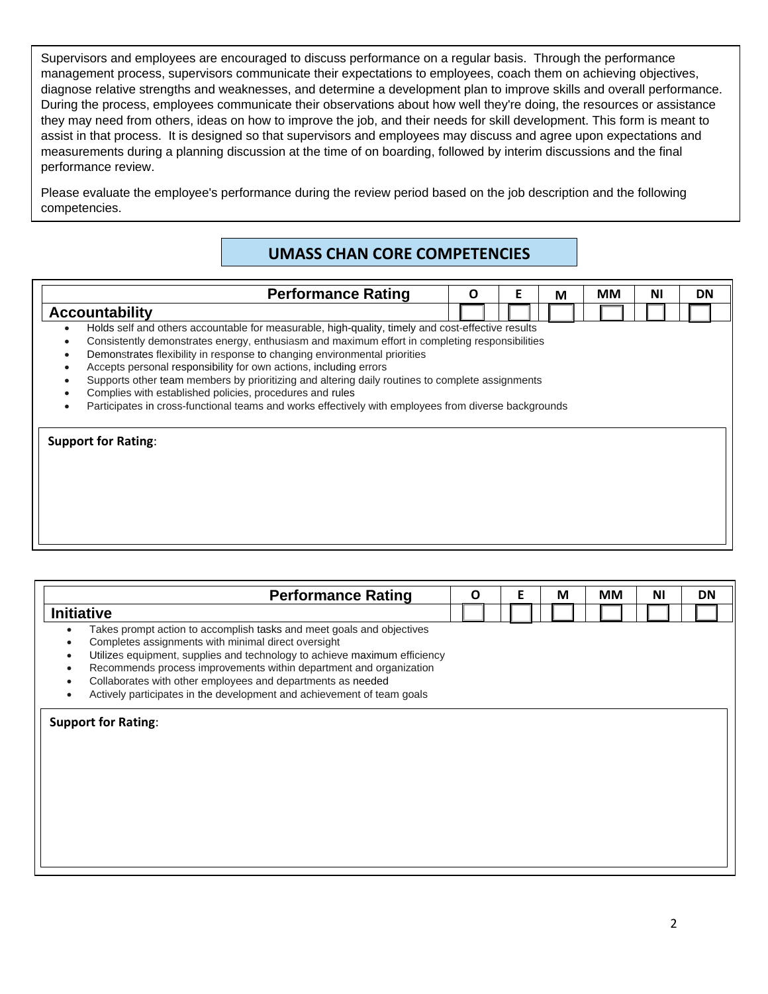Supervisors and employees are encouraged to discuss performance on a regular basis. Through the performance management process, supervisors communicate their expectations to employees, coach them on achieving objectives, diagnose relative strengths and weaknesses, and determine a development plan to improve skills and overall performance. During the process, employees communicate their observations about how well they're doing, the resources or assistance they may need from others, ideas on how to improve the job, and their needs for skill development. This form is meant to assist in that process. It is designed so that supervisors and employees may discuss and agree upon expectations and measurements during a planning discussion at the time of on boarding, followed by interim discussions and the final performance review.

Please evaluate the employee's performance during the review period based on the job description and the following competencies.

## **UMASS CHAN CORE COMPETENCIES**

# **Performance Rating**  $\begin{bmatrix} 0 \\ 0 \end{bmatrix}$  **E**  $\begin{bmatrix} 0 \\ M \end{bmatrix}$  MM  $\begin{bmatrix} 0 \\ 0 \end{bmatrix}$  DN **Accountability** • Holds self and others accountable for measurable, high-quality, timely and cost-effective results • Consistently demonstrates energy, enthusiasm and maximum effort in completing responsibilities • Demonstrates flexibility in response to changing environmental priorities • Accepts personal responsibility for own actions, including errors • Supports other team members by prioritizing and altering daily routines to complete assignments • Complies with established policies, procedures and rules • Participates in cross-functional teams and works effectively with employees from diverse backgrounds **Support for Rating**:

| <b>Performance Rating</b>                                                                                                                                                                                                                                                                                                                                                                                                                                      | O<br>F |  |  |  |  |  |  |  |  |  |  |  |  |  |  |  |  |  |  |  |  |  |  |  |  |  |  |  |  |  | М |  | MМ |  | ΝI | DN |
|----------------------------------------------------------------------------------------------------------------------------------------------------------------------------------------------------------------------------------------------------------------------------------------------------------------------------------------------------------------------------------------------------------------------------------------------------------------|--------|--|--|--|--|--|--|--|--|--|--|--|--|--|--|--|--|--|--|--|--|--|--|--|--|--|--|--|--|--|---|--|----|--|----|----|
| <b>Initiative</b>                                                                                                                                                                                                                                                                                                                                                                                                                                              |        |  |  |  |  |  |  |  |  |  |  |  |  |  |  |  |  |  |  |  |  |  |  |  |  |  |  |  |  |  |   |  |    |  |    |    |
| Takes prompt action to accomplish tasks and meet goals and objectives<br>$\bullet$<br>Completes assignments with minimal direct oversight<br>٠<br>Utilizes equipment, supplies and technology to achieve maximum efficiency<br>٠<br>Recommends process improvements within department and organization<br>٠<br>Collaborates with other employees and departments as needed<br>٠<br>Actively participates in the development and achievement of team goals<br>٠ |        |  |  |  |  |  |  |  |  |  |  |  |  |  |  |  |  |  |  |  |  |  |  |  |  |  |  |  |  |  |   |  |    |  |    |    |
| <b>Support for Rating:</b>                                                                                                                                                                                                                                                                                                                                                                                                                                     |        |  |  |  |  |  |  |  |  |  |  |  |  |  |  |  |  |  |  |  |  |  |  |  |  |  |  |  |  |  |   |  |    |  |    |    |
|                                                                                                                                                                                                                                                                                                                                                                                                                                                                |        |  |  |  |  |  |  |  |  |  |  |  |  |  |  |  |  |  |  |  |  |  |  |  |  |  |  |  |  |  |   |  |    |  |    |    |
|                                                                                                                                                                                                                                                                                                                                                                                                                                                                |        |  |  |  |  |  |  |  |  |  |  |  |  |  |  |  |  |  |  |  |  |  |  |  |  |  |  |  |  |  |   |  |    |  |    |    |
|                                                                                                                                                                                                                                                                                                                                                                                                                                                                |        |  |  |  |  |  |  |  |  |  |  |  |  |  |  |  |  |  |  |  |  |  |  |  |  |  |  |  |  |  |   |  |    |  |    |    |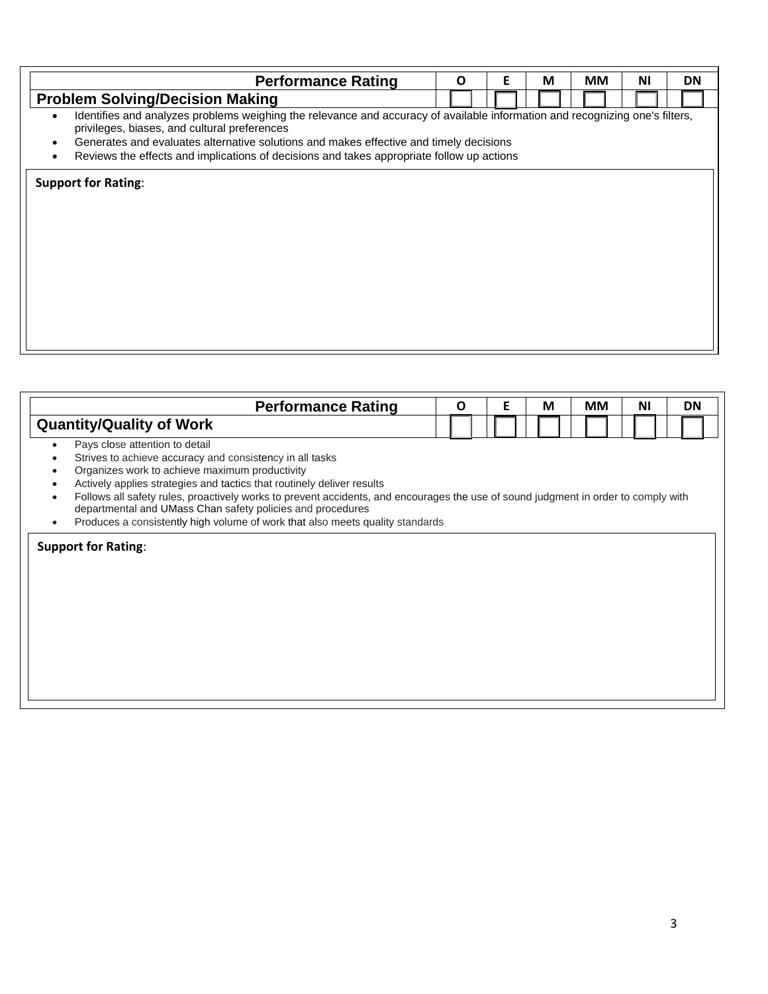| <b>Performance Rating</b>                                                                                                                                                                                                                                                           | O |  |  |  |  |  |  |  |  |  |  |  | Е |  | М | MМ | ΝI | <b>DN</b> |
|-------------------------------------------------------------------------------------------------------------------------------------------------------------------------------------------------------------------------------------------------------------------------------------|---|--|--|--|--|--|--|--|--|--|--|--|---|--|---|----|----|-----------|
| <b>Problem Solving/Decision Making</b>                                                                                                                                                                                                                                              |   |  |  |  |  |  |  |  |  |  |  |  |   |  |   |    |    |           |
| Identifies and analyzes problems weighing the relevance and accuracy of available information and recognizing one's filters,<br>$\bullet$<br>privileges, biases, and cultural preferences<br>Generates and evaluates alternative solutions and makes effective and timely decisions |   |  |  |  |  |  |  |  |  |  |  |  |   |  |   |    |    |           |
| Reviews the effects and implications of decisions and takes appropriate follow up actions                                                                                                                                                                                           |   |  |  |  |  |  |  |  |  |  |  |  |   |  |   |    |    |           |
| <b>Support for Rating:</b>                                                                                                                                                                                                                                                          |   |  |  |  |  |  |  |  |  |  |  |  |   |  |   |    |    |           |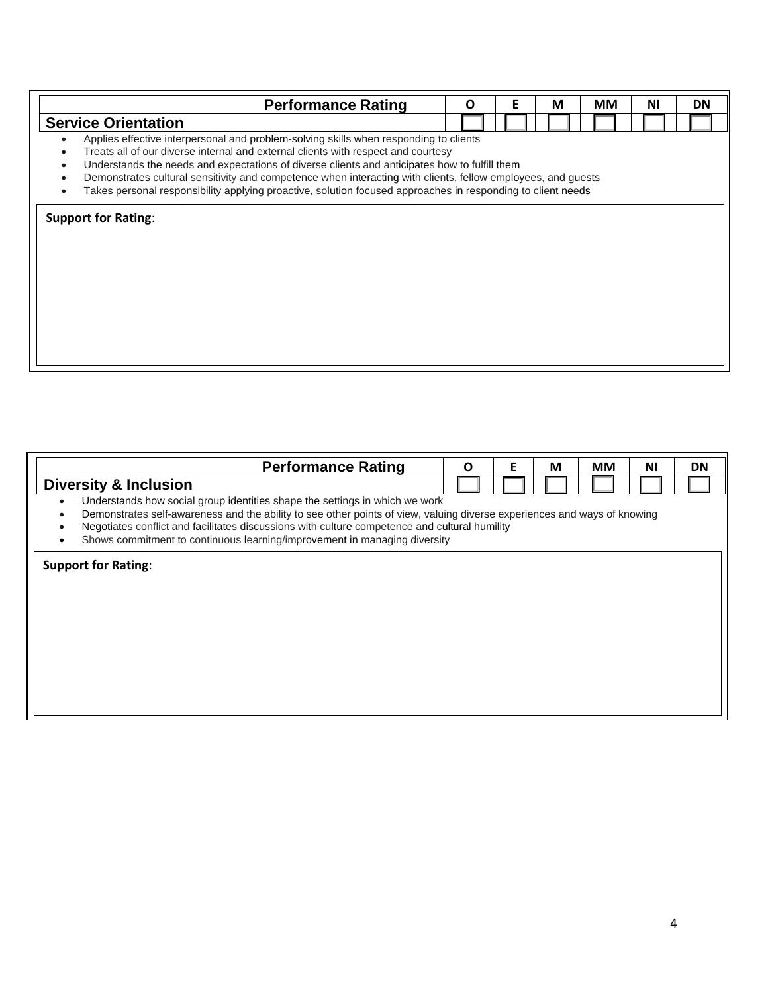| <b>Performance Rating</b>                                                                                                                                                                                                                                                                                                                                                                                                                                                                                  | O | Е | М | MМ | ΝI | DN |
|------------------------------------------------------------------------------------------------------------------------------------------------------------------------------------------------------------------------------------------------------------------------------------------------------------------------------------------------------------------------------------------------------------------------------------------------------------------------------------------------------------|---|---|---|----|----|----|
| <b>Service Orientation</b>                                                                                                                                                                                                                                                                                                                                                                                                                                                                                 |   |   |   |    |    |    |
| Applies effective interpersonal and problem-solving skills when responding to clients<br>Treats all of our diverse internal and external clients with respect and courtesy<br>Understands the needs and expectations of diverse clients and anticipates how to fulfill them<br>Demonstrates cultural sensitivity and competence when interacting with clients, fellow employees, and guests<br>Takes personal responsibility applying proactive, solution focused approaches in responding to client needs |   |   |   |    |    |    |
| <b>Support for Rating:</b>                                                                                                                                                                                                                                                                                                                                                                                                                                                                                 |   |   |   |    |    |    |
|                                                                                                                                                                                                                                                                                                                                                                                                                                                                                                            |   |   |   |    |    |    |
|                                                                                                                                                                                                                                                                                                                                                                                                                                                                                                            |   |   |   |    |    |    |
|                                                                                                                                                                                                                                                                                                                                                                                                                                                                                                            |   |   |   |    |    |    |
|                                                                                                                                                                                                                                                                                                                                                                                                                                                                                                            |   |   |   |    |    |    |

| <b>Performance Rating</b>                                                                                                                                                                                                                                                                                                                                                             | O |  |  | F |  |  |  |  |  |  |  |  |  |  |  |  |  | М | MМ | ΝI | <b>DN</b> |
|---------------------------------------------------------------------------------------------------------------------------------------------------------------------------------------------------------------------------------------------------------------------------------------------------------------------------------------------------------------------------------------|---|--|--|---|--|--|--|--|--|--|--|--|--|--|--|--|--|---|----|----|-----------|
| <b>Diversity &amp; Inclusion</b>                                                                                                                                                                                                                                                                                                                                                      |   |  |  |   |  |  |  |  |  |  |  |  |  |  |  |  |  |   |    |    |           |
| Understands how social group identities shape the settings in which we work<br>Demonstrates self-awareness and the ability to see other points of view, valuing diverse experiences and ways of knowing<br>Negotiates conflict and facilitates discussions with culture competence and cultural humility<br>Shows commitment to continuous learning/improvement in managing diversity |   |  |  |   |  |  |  |  |  |  |  |  |  |  |  |  |  |   |    |    |           |
| <b>Support for Rating:</b>                                                                                                                                                                                                                                                                                                                                                            |   |  |  |   |  |  |  |  |  |  |  |  |  |  |  |  |  |   |    |    |           |
|                                                                                                                                                                                                                                                                                                                                                                                       |   |  |  |   |  |  |  |  |  |  |  |  |  |  |  |  |  |   |    |    |           |
|                                                                                                                                                                                                                                                                                                                                                                                       |   |  |  |   |  |  |  |  |  |  |  |  |  |  |  |  |  |   |    |    |           |
|                                                                                                                                                                                                                                                                                                                                                                                       |   |  |  |   |  |  |  |  |  |  |  |  |  |  |  |  |  |   |    |    |           |
|                                                                                                                                                                                                                                                                                                                                                                                       |   |  |  |   |  |  |  |  |  |  |  |  |  |  |  |  |  |   |    |    |           |
|                                                                                                                                                                                                                                                                                                                                                                                       |   |  |  |   |  |  |  |  |  |  |  |  |  |  |  |  |  |   |    |    |           |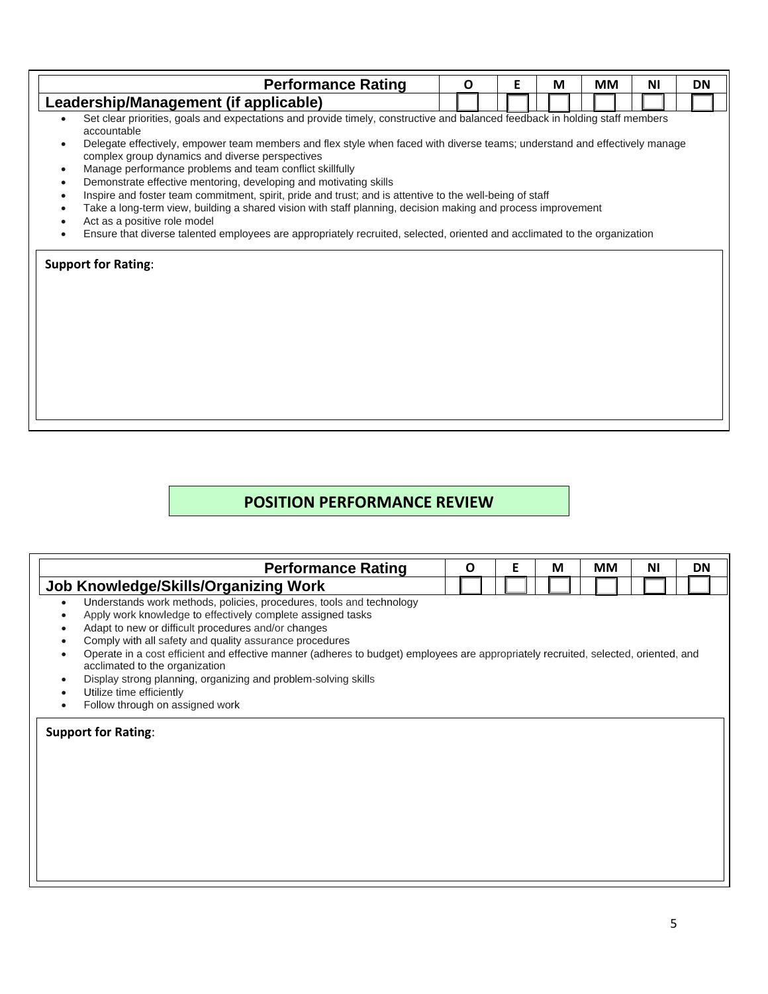| <b>Performance Rating</b>                                                                                                                                                                                                                                                                                                                                                                                                                                                                                                                                                                                                                                                                                                                                                                                                                                                            | O | Е | М | MМ | ΝI | <b>DN</b> |
|--------------------------------------------------------------------------------------------------------------------------------------------------------------------------------------------------------------------------------------------------------------------------------------------------------------------------------------------------------------------------------------------------------------------------------------------------------------------------------------------------------------------------------------------------------------------------------------------------------------------------------------------------------------------------------------------------------------------------------------------------------------------------------------------------------------------------------------------------------------------------------------|---|---|---|----|----|-----------|
| Leadership/Management (if applicable)                                                                                                                                                                                                                                                                                                                                                                                                                                                                                                                                                                                                                                                                                                                                                                                                                                                |   |   |   |    |    |           |
| Set clear priorities, goals and expectations and provide timely, constructive and balanced feedback in holding staff members<br>accountable<br>Delegate effectively, empower team members and flex style when faced with diverse teams; understand and effectively manage<br>complex group dynamics and diverse perspectives<br>Manage performance problems and team conflict skillfully<br>Demonstrate effective mentoring, developing and motivating skills<br>Inspire and foster team commitment, spirit, pride and trust; and is attentive to the well-being of staff<br>Take a long-term view, building a shared vision with staff planning, decision making and process improvement<br>Act as a positive role model<br>Ensure that diverse talented employees are appropriately recruited, selected, oriented and acclimated to the organization<br><b>Support for Rating:</b> |   |   |   |    |    |           |

### **POSITION PERFORMANCE REVIEW**

| <b>Performance Rating</b>                                                                                                                                                                                                                                                                                                                                                                                                                                                                                                                                                                 | O |  |  |  |  |  | Е |  | M | <b>MM</b> | ΝI | <b>DN</b> |
|-------------------------------------------------------------------------------------------------------------------------------------------------------------------------------------------------------------------------------------------------------------------------------------------------------------------------------------------------------------------------------------------------------------------------------------------------------------------------------------------------------------------------------------------------------------------------------------------|---|--|--|--|--|--|---|--|---|-----------|----|-----------|
| Job Knowledge/Skills/Organizing Work                                                                                                                                                                                                                                                                                                                                                                                                                                                                                                                                                      |   |  |  |  |  |  |   |  |   |           |    |           |
| Understands work methods, policies, procedures, tools and technology<br>$\bullet$<br>Apply work knowledge to effectively complete assigned tasks<br>Adapt to new or difficult procedures and/or changes<br>$\bullet$<br>Comply with all safety and quality assurance procedures<br>Operate in a cost efficient and effective manner (adheres to budget) employees are appropriately recruited, selected, oriented, and<br>acclimated to the organization<br>Display strong planning, organizing and problem-solving skills<br>Utilize time efficiently<br>Follow through on assigned work |   |  |  |  |  |  |   |  |   |           |    |           |
| <b>Support for Rating:</b>                                                                                                                                                                                                                                                                                                                                                                                                                                                                                                                                                                |   |  |  |  |  |  |   |  |   |           |    |           |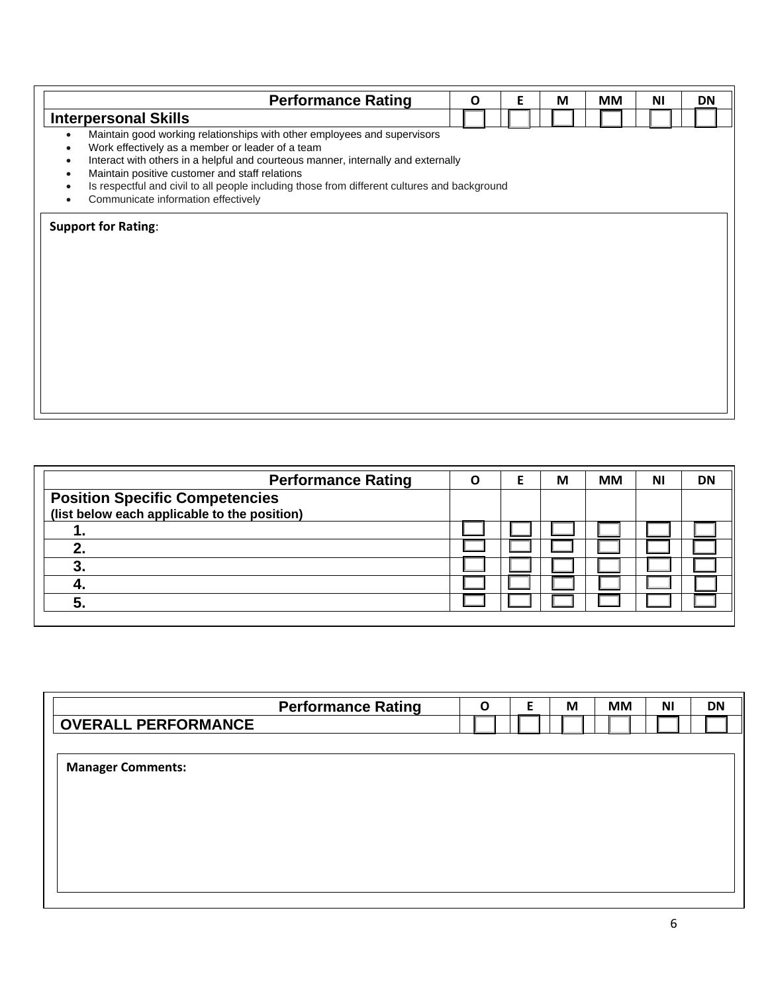| <b>Performance Rating</b>                                                                                                             | Ο | Е | M | <b>MM</b> | ΝI | <b>DN</b> |
|---------------------------------------------------------------------------------------------------------------------------------------|---|---|---|-----------|----|-----------|
| <b>Interpersonal Skills</b>                                                                                                           |   |   |   |           |    |           |
| Maintain good working relationships with other employees and supervisors                                                              |   |   |   |           |    |           |
| Work effectively as a member or leader of a team<br>Interact with others in a helpful and courteous manner, internally and externally |   |   |   |           |    |           |
| Maintain positive customer and staff relations                                                                                        |   |   |   |           |    |           |
| Is respectful and civil to all people including those from different cultures and background                                          |   |   |   |           |    |           |
| Communicate information effectively                                                                                                   |   |   |   |           |    |           |
|                                                                                                                                       |   |   |   |           |    |           |

| <b>Performance Rating</b>                    | υ. | М | <b>MM</b> | ΝI | <b>DN</b> |
|----------------------------------------------|----|---|-----------|----|-----------|
| <b>Position Specific Competencies</b>        |    |   |           |    |           |
| (list below each applicable to the position) |    |   |           |    |           |
| . .                                          |    |   |           |    |           |
|                                              |    |   |           |    |           |
|                                              |    |   |           |    |           |
|                                              |    |   |           |    |           |
|                                              |    |   |           |    |           |
|                                              |    |   |           |    |           |

|                            | <b>Performance Rating</b> | $\mathbf O$ | Е | M | <b>MM</b> | ΝI | <b>DN</b> |
|----------------------------|---------------------------|-------------|---|---|-----------|----|-----------|
| <b>OVERALL PERFORMANCE</b> |                           |             |   |   |           |    |           |
|                            |                           |             |   |   |           |    |           |
| <b>Manager Comments:</b>   |                           |             |   |   |           |    |           |
|                            |                           |             |   |   |           |    |           |
|                            |                           |             |   |   |           |    |           |
|                            |                           |             |   |   |           |    |           |
|                            |                           |             |   |   |           |    |           |
|                            |                           |             |   |   |           |    |           |
|                            |                           |             |   |   |           |    |           |